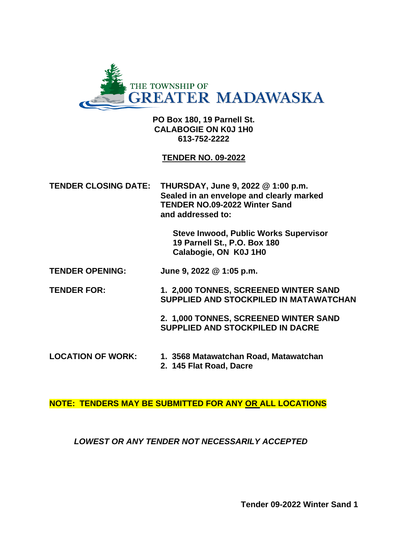

**PO Box 180, 19 Parnell St. CALABOGIE ON K0J 1H0 613-752-2222**

#### **TENDER NO. 09-2022**

**TENDER CLOSING DATE: THURSDAY, June 9, 2022 @ 1:00 p.m. Sealed in an envelope and clearly marked TENDER NO.09-2022 Winter Sand and addressed to:**

> **Steve Inwood, Public Works Supervisor 19 Parnell St., P.O. Box 180 Calabogie, ON K0J 1H0**

**TENDER OPENING: June 9, 2022 @ 1:05 p.m.**

**TENDER FOR: 1. 2,000 TONNES, SCREENED WINTER SAND SUPPLIED AND STOCKPILED IN MATAWATCHAN**

> **2. 1,000 TONNES, SCREENED WINTER SAND SUPPLIED AND STOCKPILED IN DACRE**

**LOCATION OF WORK: 1. 3568 Matawatchan Road, Matawatchan 2. 145 Flat Road, Dacre**

**NOTE: TENDERS MAY BE SUBMITTED FOR ANY OR ALL LOCATIONS**

#### *LOWEST OR ANY TENDER NOT NECESSARILY ACCEPTED*

**Tender 09-2022 Winter Sand 1**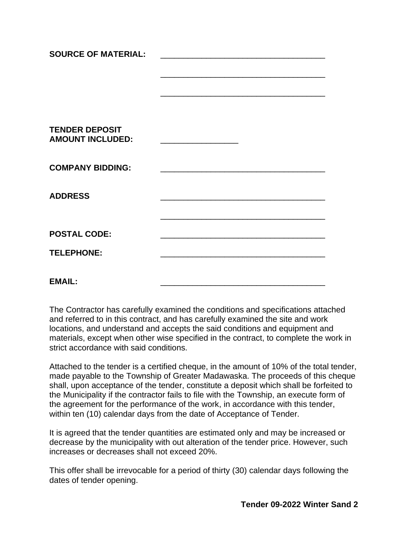| <b>SOURCE OF MATERIAL:</b>                       |                                                                                                                                                                                                                                      |  |
|--------------------------------------------------|--------------------------------------------------------------------------------------------------------------------------------------------------------------------------------------------------------------------------------------|--|
|                                                  |                                                                                                                                                                                                                                      |  |
|                                                  |                                                                                                                                                                                                                                      |  |
|                                                  |                                                                                                                                                                                                                                      |  |
| <b>TENDER DEPOSIT</b><br><b>AMOUNT INCLUDED:</b> |                                                                                                                                                                                                                                      |  |
| <b>COMPANY BIDDING:</b>                          |                                                                                                                                                                                                                                      |  |
| <b>ADDRESS</b>                                   |                                                                                                                                                                                                                                      |  |
|                                                  |                                                                                                                                                                                                                                      |  |
| <b>POSTAL CODE:</b>                              |                                                                                                                                                                                                                                      |  |
| <b>TELEPHONE:</b>                                | <u> 1989 - Johann John Harry Harry Harry Harry Harry Harry Harry Harry Harry Harry Harry Harry Harry Harry Harry Harry Harry Harry Harry Harry Harry Harry Harry Harry Harry Harry Harry Harry Harry Harry Harry Harry Harry Har</u> |  |
| <b>EMAIL:</b>                                    |                                                                                                                                                                                                                                      |  |
|                                                  |                                                                                                                                                                                                                                      |  |

The Contractor has carefully examined the conditions and specifications attached and referred to in this contract, and has carefully examined the site and work locations, and understand and accepts the said conditions and equipment and materials, except when other wise specified in the contract, to complete the work in strict accordance with said conditions.

Attached to the tender is a certified cheque, in the amount of 10% of the total tender, made payable to the Township of Greater Madawaska. The proceeds of this cheque shall, upon acceptance of the tender, constitute a deposit which shall be forfeited to the Municipality if the contractor fails to file with the Township, an execute form of the agreement for the performance of the work, in accordance with this tender, within ten (10) calendar days from the date of Acceptance of Tender.

It is agreed that the tender quantities are estimated only and may be increased or decrease by the municipality with out alteration of the tender price. However, such increases or decreases shall not exceed 20%.

This offer shall be irrevocable for a period of thirty (30) calendar days following the dates of tender opening.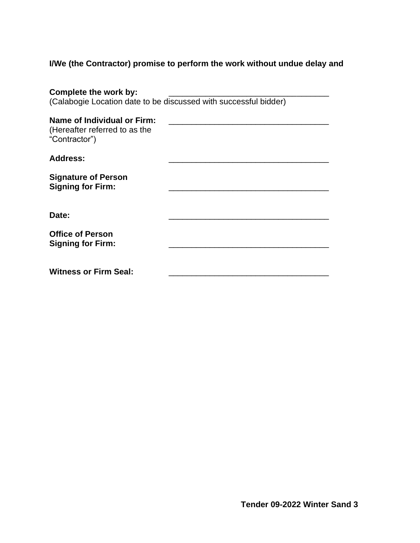# **I/We (the Contractor) promise to perform the work without undue delay and**

| Complete the work by:                                                         |  |  |  |  |  |
|-------------------------------------------------------------------------------|--|--|--|--|--|
| (Calabogie Location date to be discussed with successful bidder)              |  |  |  |  |  |
| Name of Individual or Firm:<br>(Hereafter referred to as the<br>"Contractor") |  |  |  |  |  |
| <b>Address:</b>                                                               |  |  |  |  |  |
| <b>Signature of Person</b><br><b>Signing for Firm:</b>                        |  |  |  |  |  |
| Date:                                                                         |  |  |  |  |  |
| <b>Office of Person</b><br><b>Signing for Firm:</b>                           |  |  |  |  |  |
| <b>Witness or Firm Seal:</b>                                                  |  |  |  |  |  |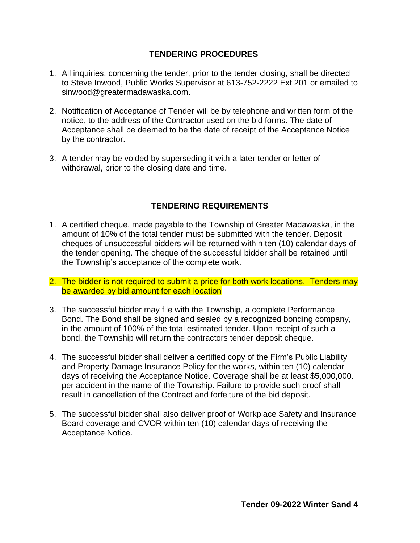# **TENDERING PROCEDURES**

- 1. All inquiries, concerning the tender, prior to the tender closing, shall be directed to Steve Inwood, Public Works Supervisor at 613-752-2222 Ext 201 or emailed to sinwood@greatermadawaska.com.
- 2. Notification of Acceptance of Tender will be by telephone and written form of the notice, to the address of the Contractor used on the bid forms. The date of Acceptance shall be deemed to be the date of receipt of the Acceptance Notice by the contractor.
- 3. A tender may be voided by superseding it with a later tender or letter of withdrawal, prior to the closing date and time.

# **TENDERING REQUIREMENTS**

- 1. A certified cheque, made payable to the Township of Greater Madawaska, in the amount of 10% of the total tender must be submitted with the tender. Deposit cheques of unsuccessful bidders will be returned within ten (10) calendar days of the tender opening. The cheque of the successful bidder shall be retained until the Township's acceptance of the complete work.
- 2. The bidder is not required to submit a price for both work locations. Tenders may be awarded by bid amount for each location
- 3. The successful bidder may file with the Township, a complete Performance Bond. The Bond shall be signed and sealed by a recognized bonding company, in the amount of 100% of the total estimated tender. Upon receipt of such a bond, the Township will return the contractors tender deposit cheque.
- 4. The successful bidder shall deliver a certified copy of the Firm's Public Liability and Property Damage Insurance Policy for the works, within ten (10) calendar days of receiving the Acceptance Notice. Coverage shall be at least \$5,000,000. per accident in the name of the Township. Failure to provide such proof shall result in cancellation of the Contract and forfeiture of the bid deposit.
- 5. The successful bidder shall also deliver proof of Workplace Safety and Insurance Board coverage and CVOR within ten (10) calendar days of receiving the Acceptance Notice.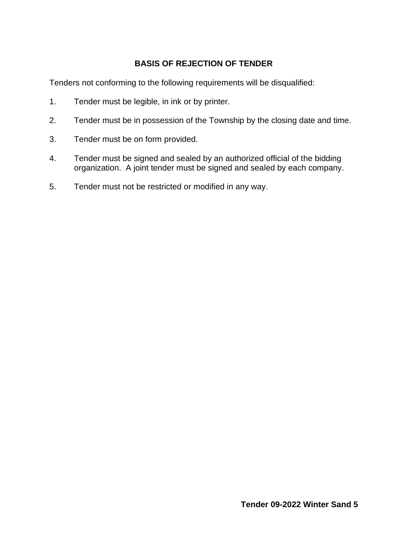# **BASIS OF REJECTION OF TENDER**

Tenders not conforming to the following requirements will be disqualified:

- 1. Tender must be legible, in ink or by printer.
- 2. Tender must be in possession of the Township by the closing date and time.
- 3. Tender must be on form provided.
- 4. Tender must be signed and sealed by an authorized official of the bidding organization. A joint tender must be signed and sealed by each company.
- 5. Tender must not be restricted or modified in any way.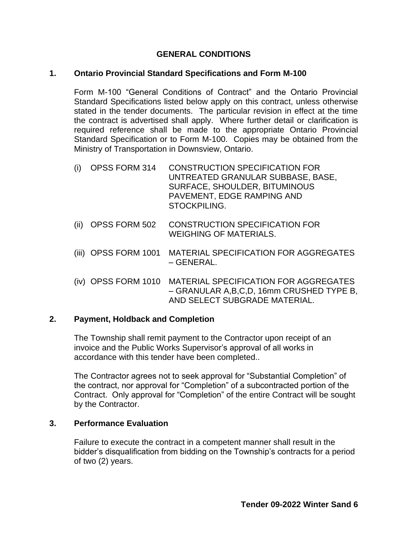### **GENERAL CONDITIONS**

#### **1. Ontario Provincial Standard Specifications and Form M-100**

Form M-100 "General Conditions of Contract" and the Ontario Provincial Standard Specifications listed below apply on this contract, unless otherwise stated in the tender documents. The particular revision in effect at the time the contract is advertised shall apply. Where further detail or clarification is required reference shall be made to the appropriate Ontario Provincial Standard Specification or to Form M-100. Copies may be obtained from the Ministry of Transportation in Downsview, Ontario.

- (i) OPSS FORM 314 CONSTRUCTION SPECIFICATION FOR UNTREATED GRANULAR SUBBASE, BASE, SURFACE, SHOULDER, BITUMINOUS PAVEMENT, EDGE RAMPING AND STOCKPILING.
- (ii) OPSS FORM 502 CONSTRUCTION SPECIFICATION FOR WEIGHING OF MATERIALS.
- (iii) OPSS FORM 1001 MATERIAL SPECIFICATION FOR AGGREGATES – GENERAL.
- (iv) OPSS FORM 1010 MATERIAL SPECIFICATION FOR AGGREGATES – GRANULAR A,B,C,D, 16mm CRUSHED TYPE B, AND SELECT SUBGRADE MATERIAL.

### **2. Payment, Holdback and Completion**

The Township shall remit payment to the Contractor upon receipt of an invoice and the Public Works Supervisor's approval of all works in accordance with this tender have been completed..

The Contractor agrees not to seek approval for "Substantial Completion" of the contract, nor approval for "Completion" of a subcontracted portion of the Contract. Only approval for "Completion" of the entire Contract will be sought by the Contractor.

### **3. Performance Evaluation**

Failure to execute the contract in a competent manner shall result in the bidder's disqualification from bidding on the Township's contracts for a period of two (2) years.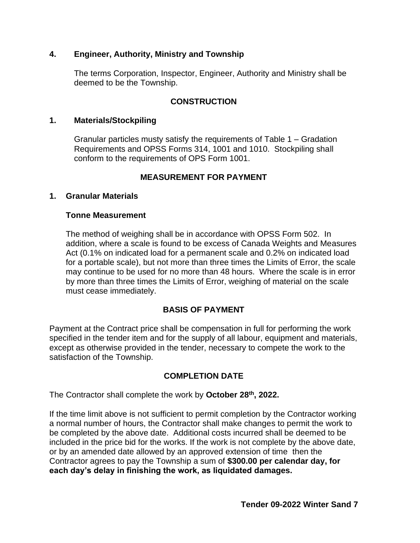### **4. Engineer, Authority, Ministry and Township**

The terms Corporation, Inspector, Engineer, Authority and Ministry shall be deemed to be the Township.

# **CONSTRUCTION**

#### **1. Materials/Stockpiling**

Granular particles musty satisfy the requirements of Table 1 – Gradation Requirements and OPSS Forms 314, 1001 and 1010. Stockpiling shall conform to the requirements of OPS Form 1001.

## **MEASUREMENT FOR PAYMENT**

#### **1. Granular Materials**

#### **Tonne Measurement**

The method of weighing shall be in accordance with OPSS Form 502. In addition, where a scale is found to be excess of Canada Weights and Measures Act (0.1% on indicated load for a permanent scale and 0.2% on indicated load for a portable scale), but not more than three times the Limits of Error, the scale may continue to be used for no more than 48 hours. Where the scale is in error by more than three times the Limits of Error, weighing of material on the scale must cease immediately.

### **BASIS OF PAYMENT**

Payment at the Contract price shall be compensation in full for performing the work specified in the tender item and for the supply of all labour, equipment and materials, except as otherwise provided in the tender, necessary to compete the work to the satisfaction of the Township.

# **COMPLETION DATE**

The Contractor shall complete the work by **October 28 th, 2022.** 

If the time limit above is not sufficient to permit completion by the Contractor working a normal number of hours, the Contractor shall make changes to permit the work to be completed by the above date. Additional costs incurred shall be deemed to be included in the price bid for the works. If the work is not complete by the above date, or by an amended date allowed by an approved extension of time then the Contractor agrees to pay the Township a sum of **\$300.00 per calendar day, for each day's delay in finishing the work, as liquidated damages.**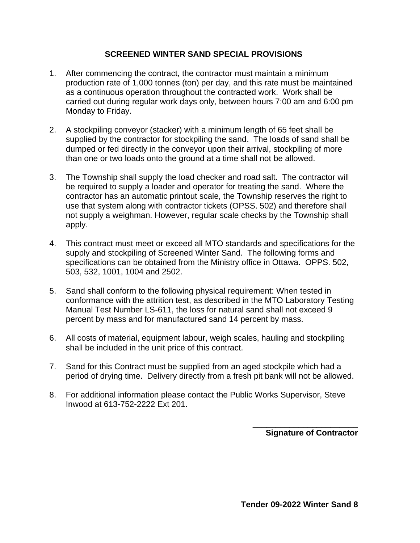### **SCREENED WINTER SAND SPECIAL PROVISIONS**

- 1. After commencing the contract, the contractor must maintain a minimum production rate of 1,000 tonnes (ton) per day, and this rate must be maintained as a continuous operation throughout the contracted work. Work shall be carried out during regular work days only, between hours 7:00 am and 6:00 pm Monday to Friday.
- 2. A stockpiling conveyor (stacker) with a minimum length of 65 feet shall be supplied by the contractor for stockpiling the sand. The loads of sand shall be dumped or fed directly in the conveyor upon their arrival, stockpiling of more than one or two loads onto the ground at a time shall not be allowed.
- 3. The Township shall supply the load checker and road salt. The contractor will be required to supply a loader and operator for treating the sand. Where the contractor has an automatic printout scale, the Township reserves the right to use that system along with contractor tickets (OPSS. 502) and therefore shall not supply a weighman. However, regular scale checks by the Township shall apply.
- 4. This contract must meet or exceed all MTO standards and specifications for the supply and stockpiling of Screened Winter Sand. The following forms and specifications can be obtained from the Ministry office in Ottawa. OPPS. 502, 503, 532, 1001, 1004 and 2502.
- 5. Sand shall conform to the following physical requirement: When tested in conformance with the attrition test, as described in the MTO Laboratory Testing Manual Test Number LS-611, the loss for natural sand shall not exceed 9 percent by mass and for manufactured sand 14 percent by mass.
- 6. All costs of material, equipment labour, weigh scales, hauling and stockpiling shall be included in the unit price of this contract.
- 7. Sand for this Contract must be supplied from an aged stockpile which had a period of drying time. Delivery directly from a fresh pit bank will not be allowed.
- 8. For additional information please contact the Public Works Supervisor, Steve Inwood at 613-752-2222 Ext 201.

**Signature of Contractor**

\_\_\_\_\_\_\_\_\_\_\_\_\_\_\_\_\_\_\_\_\_\_\_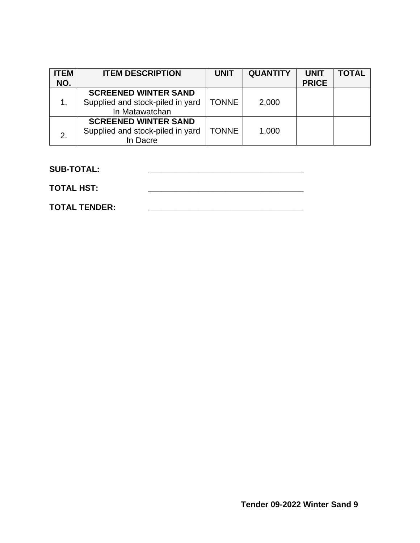| <b>ITEM</b> | <b>ITEM DESCRIPTION</b>                            | <b>UNIT</b>  | <b>QUANTITY</b> | <b>UNIT</b>  | <b>TOTAL</b> |
|-------------|----------------------------------------------------|--------------|-----------------|--------------|--------------|
| NO.         |                                                    |              |                 | <b>PRICE</b> |              |
|             | <b>SCREENED WINTER SAND</b>                        |              |                 |              |              |
| 1.          | Supplied and stock-piled in yard<br>In Matawatchan | <b>TONNE</b> | 2,000           |              |              |
|             | <b>SCREENED WINTER SAND</b>                        |              |                 |              |              |
| 2.          | Supplied and stock-piled in yard                   | <b>TONNE</b> | 1,000           |              |              |
|             | In Dacre                                           |              |                 |              |              |

**SUB-TOTAL: \_\_\_\_\_\_\_\_\_\_\_\_\_\_\_\_\_\_\_\_\_\_\_\_\_\_\_\_\_\_\_\_\_\_**

**TOTAL HST: \_\_\_\_\_\_\_\_\_\_\_\_\_\_\_\_\_\_\_\_\_\_\_\_\_\_\_\_\_\_\_\_\_\_**

**TOTAL TENDER: \_\_\_\_\_\_\_\_\_\_\_\_\_\_\_\_\_\_\_\_\_\_\_\_\_\_\_\_\_\_\_\_\_\_**